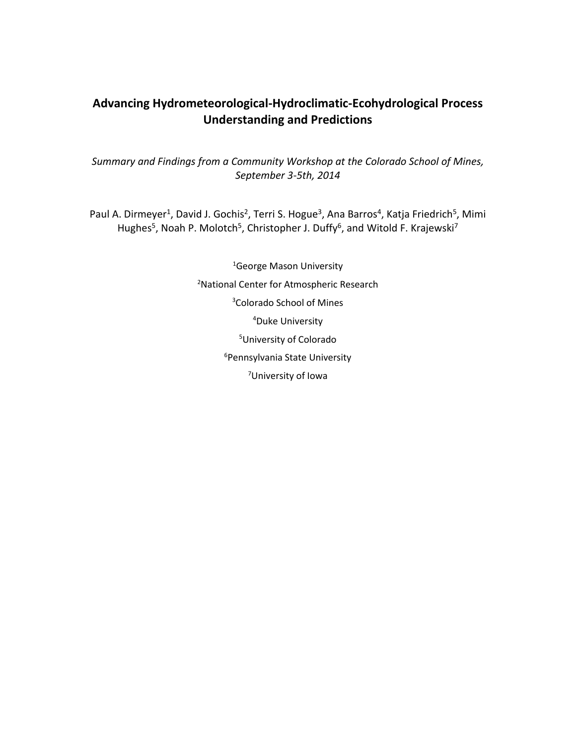# **Advancing Hydrometeorological-Hydroclimatic-Ecohydrological Process Understanding and Predictions**

*Summary and Findings from a Community Workshop at the Colorado School of Mines, September 3-5th, 2014*

Paul A. Dirmeyer<sup>1</sup>, David J. Gochis<sup>2</sup>, Terri S. Hogue<sup>3</sup>, Ana Barros<sup>4</sup>, Katja Friedrich<sup>5</sup>, Mimi Hughes<sup>5</sup>, Noah P. Molotch<sup>5</sup>, Christopher J. Duffy<sup>6</sup>, and Witold F. Krajewski<sup>7</sup>

> <sup>1</sup>George Mason University National Center for Atmospheric Research Colorado School of Mines Duke University University of Colorado Pennsylvania State University University of Iowa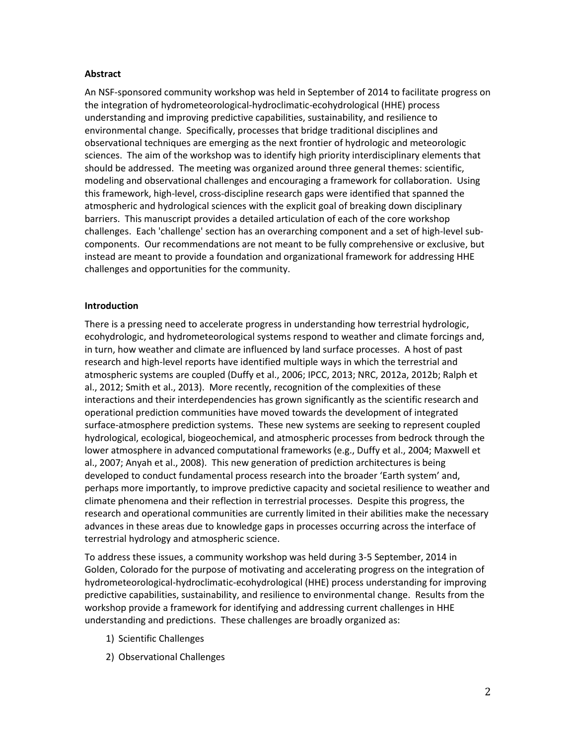#### **Abstract**

An NSF-sponsored community workshop was held in September of 2014 to facilitate progress on the integration of hydrometeorological-hydroclimatic-ecohydrological (HHE) process understanding and improving predictive capabilities, sustainability, and resilience to environmental change. Specifically, processes that bridge traditional disciplines and observational techniques are emerging as the next frontier of hydrologic and meteorologic sciences. The aim of the workshop was to identify high priority interdisciplinary elements that should be addressed. The meeting was organized around three general themes: scientific, modeling and observational challenges and encouraging a framework for collaboration. Using this framework, high-level, cross-discipline research gaps were identified that spanned the atmospheric and hydrological sciences with the explicit goal of breaking down disciplinary barriers. This manuscript provides a detailed articulation of each of the core workshop challenges. Each 'challenge' section has an overarching component and a set of high-level subcomponents. Our recommendations are not meant to be fully comprehensive or exclusive, but instead are meant to provide a foundation and organizational framework for addressing HHE challenges and opportunities for the community.

#### **Introduction**

There is a pressing need to accelerate progress in understanding how terrestrial hydrologic, ecohydrologic, and hydrometeorological systems respond to weather and climate forcings and, in turn, how weather and climate are influenced by land surface processes. A host of past research and high-level reports have identified multiple ways in which the terrestrial and atmospheric systems are coupled (Duffy et al., 2006; IPCC, 2013; NRC, 2012a, 2012b; Ralph et al., 2012; Smith et al., 2013). More recently, recognition of the complexities of these interactions and their interdependencies has grown significantly as the scientific research and operational prediction communities have moved towards the development of integrated surface-atmosphere prediction systems. These new systems are seeking to represent coupled hydrological, ecological, biogeochemical, and atmospheric processes from bedrock through the lower atmosphere in advanced computational frameworks (e.g., Duffy et al., 2004; Maxwell et al., 2007; Anyah et al., 2008). This new generation of prediction architectures is being developed to conduct fundamental process research into the broader 'Earth system' and, perhaps more importantly, to improve predictive capacity and societal resilience to weather and climate phenomena and their reflection in terrestrial processes. Despite this progress, the research and operational communities are currently limited in their abilities make the necessary advances in these areas due to knowledge gaps in processes occurring across the interface of terrestrial hydrology and atmospheric science.

To address these issues, a community workshop was held during 3-5 September, 2014 in Golden, Colorado for the purpose of motivating and accelerating progress on the integration of hydrometeorological-hydroclimatic-ecohydrological (HHE) process understanding for improving predictive capabilities, sustainability, and resilience to environmental change. Results from the workshop provide a framework for identifying and addressing current challenges in HHE understanding and predictions. These challenges are broadly organized as:

- 1) Scientific Challenges
- 2) Observational Challenges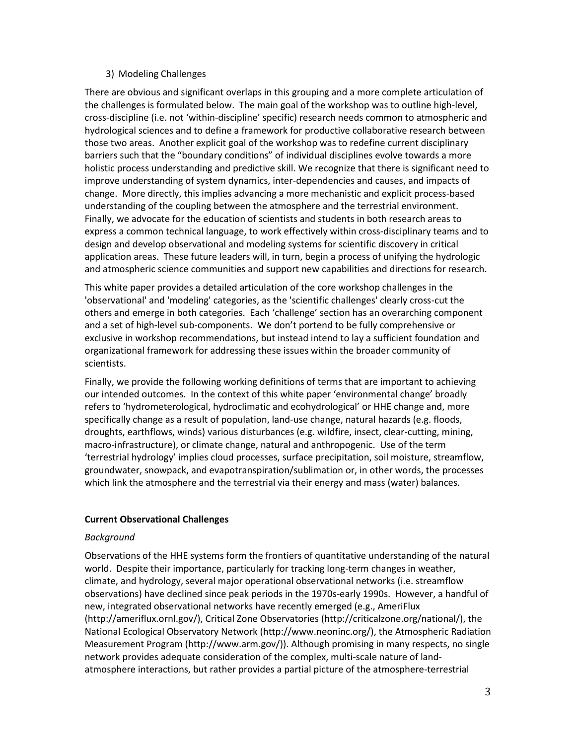#### 3) Modeling Challenges

There are obvious and significant overlaps in this grouping and a more complete articulation of the challenges is formulated below. The main goal of the workshop was to outline high-level, cross-discipline (i.e. not 'within-discipline' specific) research needs common to atmospheric and hydrological sciences and to define a framework for productive collaborative research between those two areas. Another explicit goal of the workshop was to redefine current disciplinary barriers such that the "boundary conditions" of individual disciplines evolve towards a more holistic process understanding and predictive skill. We recognize that there is significant need to improve understanding of system dynamics, inter-dependencies and causes, and impacts of change. More directly, this implies advancing a more mechanistic and explicit process-based understanding of the coupling between the atmosphere and the terrestrial environment. Finally, we advocate for the education of scientists and students in both research areas to express a common technical language, to work effectively within cross-disciplinary teams and to design and develop observational and modeling systems for scientific discovery in critical application areas. These future leaders will, in turn, begin a process of unifying the hydrologic and atmospheric science communities and support new capabilities and directions for research.

This white paper provides a detailed articulation of the core workshop challenges in the 'observational' and 'modeling' categories, as the 'scientific challenges' clearly cross-cut the others and emerge in both categories. Each 'challenge' section has an overarching component and a set of high-level sub-components. We don't portend to be fully comprehensive or exclusive in workshop recommendations, but instead intend to lay a sufficient foundation and organizational framework for addressing these issues within the broader community of scientists.

Finally, we provide the following working definitions of terms that are important to achieving our intended outcomes. In the context of this white paper 'environmental change' broadly refers to 'hydrometerological, hydroclimatic and ecohydrological' or HHE change and, more specifically change as a result of population, land-use change, natural hazards (e.g. floods, droughts, earthflows, winds) various disturbances (e.g. wildfire, insect, clear-cutting, mining, macro-infrastructure), or climate change, natural and anthropogenic. Use of the term 'terrestrial hydrology' implies cloud processes, surface precipitation, soil moisture, streamflow, groundwater, snowpack, and evapotranspiration/sublimation or, in other words, the processes which link the atmosphere and the terrestrial via their energy and mass (water) balances.

#### **Current Observational Challenges**

#### *Background*

Observations of the HHE systems form the frontiers of quantitative understanding of the natural world. Despite their importance, particularly for tracking long-term changes in weather, climate, and hydrology, several major operational observational networks (i.e. streamflow observations) have declined since peak periods in the 1970s-early 1990s. However, a handful of new, integrated observational networks have recently emerged (e.g., AmeriFlux (http://ameriflux.ornl.gov/), Critical Zone Observatories (http://criticalzone.org/national/), the National Ecological Observatory Network (http://www.neoninc.org/), the Atmospheric Radiation Measurement Program (http://www.arm.gov/)). Although promising in many respects, no single network provides adequate consideration of the complex, multi-scale nature of landatmosphere interactions, but rather provides a partial picture of the atmosphere-terrestrial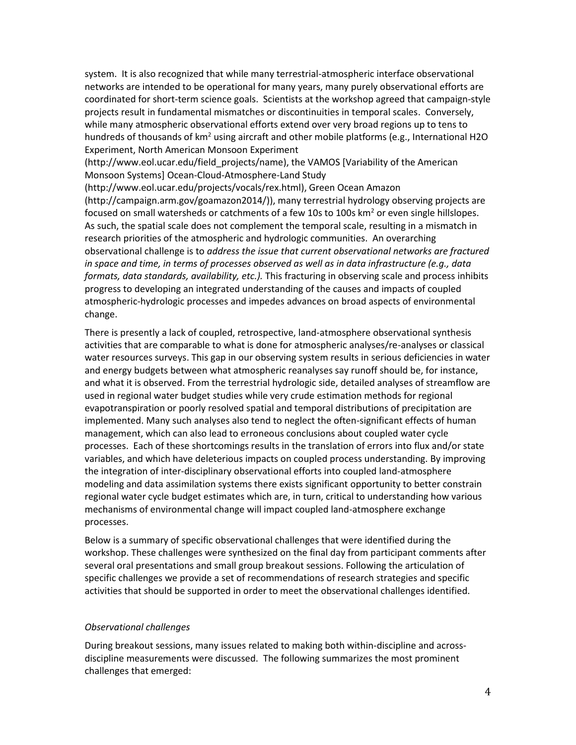system. It is also recognized that while many terrestrial-atmospheric interface observational networks are intended to be operational for many years, many purely observational efforts are coordinated for short-term science goals. Scientists at the workshop agreed that campaign-style projects result in fundamental mismatches or discontinuities in temporal scales. Conversely, while many atmospheric observational efforts extend over very broad regions up to tens to hundreds of thousands of km<sup>2</sup> using aircraft and other mobile platforms (e.g., International H2O Experiment, North American Monsoon Experiment

(http://www.eol.ucar.edu/field\_projects/name), the VAMOS [Variability of the American Monsoon Systems] Ocean-Cloud-Atmosphere-Land Study

(http://www.eol.ucar.edu/projects/vocals/rex.html), Green Ocean Amazon (http://campaign.arm.gov/goamazon2014/)), many terrestrial hydrology observing projects are focused on small watersheds or catchments of a few 10s to 100s  $km<sup>2</sup>$  or even single hillslopes. As such, the spatial scale does not complement the temporal scale, resulting in a mismatch in research priorities of the atmospheric and hydrologic communities. An overarching observational challenge is to *address the issue that current observational networks are fractured in space and time, in terms of processes observed as well as in data infrastructure (e.g., data formats, data standards, availability, etc.).* This fracturing in observing scale and process inhibits progress to developing an integrated understanding of the causes and impacts of coupled atmospheric-hydrologic processes and impedes advances on broad aspects of environmental change.

There is presently a lack of coupled, retrospective, land-atmosphere observational synthesis activities that are comparable to what is done for atmospheric analyses/re-analyses or classical water resources surveys. This gap in our observing system results in serious deficiencies in water and energy budgets between what atmospheric reanalyses say runoff should be, for instance, and what it is observed. From the terrestrial hydrologic side, detailed analyses of streamflow are used in regional water budget studies while very crude estimation methods for regional evapotranspiration or poorly resolved spatial and temporal distributions of precipitation are implemented. Many such analyses also tend to neglect the often-significant effects of human management, which can also lead to erroneous conclusions about coupled water cycle processes. Each of these shortcomings results in the translation of errors into flux and/or state variables, and which have deleterious impacts on coupled process understanding. By improving the integration of inter-disciplinary observational efforts into coupled land-atmosphere modeling and data assimilation systems there exists significant opportunity to better constrain regional water cycle budget estimates which are, in turn, critical to understanding how various mechanisms of environmental change will impact coupled land-atmosphere exchange processes.

Below is a summary of specific observational challenges that were identified during the workshop. These challenges were synthesized on the final day from participant comments after several oral presentations and small group breakout sessions. Following the articulation of specific challenges we provide a set of recommendations of research strategies and specific activities that should be supported in order to meet the observational challenges identified.

#### *Observational challenges*

During breakout sessions, many issues related to making both within-discipline and acrossdiscipline measurements were discussed. The following summarizes the most prominent challenges that emerged: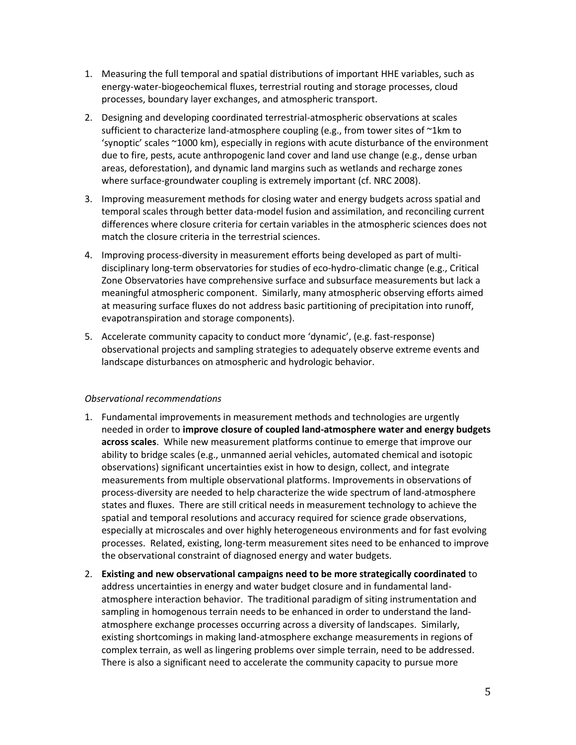- 1. Measuring the full temporal and spatial distributions of important HHE variables, such as energy-water-biogeochemical fluxes, terrestrial routing and storage processes, cloud processes, boundary layer exchanges, and atmospheric transport.
- 2. Designing and developing coordinated terrestrial-atmospheric observations at scales sufficient to characterize land-atmosphere coupling (e.g., from tower sites of ~1km to 'synoptic' scales ~1000 km), especially in regions with acute disturbance of the environment due to fire, pests, acute anthropogenic land cover and land use change (e.g., dense urban areas, deforestation), and dynamic land margins such as wetlands and recharge zones where surface-groundwater coupling is extremely important (cf. NRC 2008).
- 3. Improving measurement methods for closing water and energy budgets across spatial and temporal scales through better data-model fusion and assimilation, and reconciling current differences where closure criteria for certain variables in the atmospheric sciences does not match the closure criteria in the terrestrial sciences.
- 4. Improving process-diversity in measurement efforts being developed as part of multidisciplinary long-term observatories for studies of eco-hydro-climatic change (e.g., Critical Zone Observatories have comprehensive surface and subsurface measurements but lack a meaningful atmospheric component. Similarly, many atmospheric observing efforts aimed at measuring surface fluxes do not address basic partitioning of precipitation into runoff, evapotranspiration and storage components).
- 5. Accelerate community capacity to conduct more 'dynamic', (e.g. fast-response) observational projects and sampling strategies to adequately observe extreme events and landscape disturbances on atmospheric and hydrologic behavior.

#### *Observational recommendations*

- 1. Fundamental improvements in measurement methods and technologies are urgently needed in order to **improve closure of coupled land-atmosphere water and energy budgets across scales**. While new measurement platforms continue to emerge that improve our ability to bridge scales (e.g., unmanned aerial vehicles, automated chemical and isotopic observations) significant uncertainties exist in how to design, collect, and integrate measurements from multiple observational platforms. Improvements in observations of process-diversity are needed to help characterize the wide spectrum of land-atmosphere states and fluxes. There are still critical needs in measurement technology to achieve the spatial and temporal resolutions and accuracy required for science grade observations, especially at microscales and over highly heterogeneous environments and for fast evolving processes. Related, existing, long-term measurement sites need to be enhanced to improve the observational constraint of diagnosed energy and water budgets.
- 2. **Existing and new observational campaigns need to be more strategically coordinated** to address uncertainties in energy and water budget closure and in fundamental landatmosphere interaction behavior. The traditional paradigm of siting instrumentation and sampling in homogenous terrain needs to be enhanced in order to understand the landatmosphere exchange processes occurring across a diversity of landscapes. Similarly, existing shortcomings in making land-atmosphere exchange measurements in regions of complex terrain, as well as lingering problems over simple terrain, need to be addressed. There is also a significant need to accelerate the community capacity to pursue more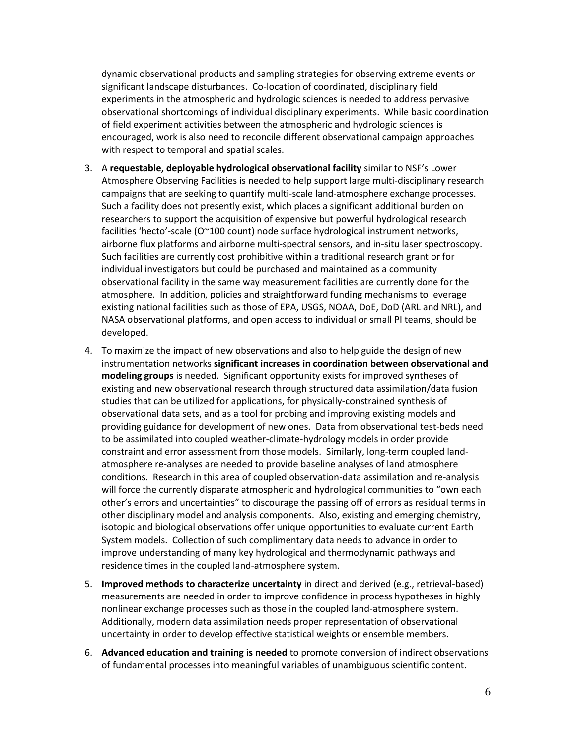dynamic observational products and sampling strategies for observing extreme events or significant landscape disturbances. Co-location of coordinated, disciplinary field experiments in the atmospheric and hydrologic sciences is needed to address pervasive observational shortcomings of individual disciplinary experiments. While basic coordination of field experiment activities between the atmospheric and hydrologic sciences is encouraged, work is also need to reconcile different observational campaign approaches with respect to temporal and spatial scales.

- 3. A **requestable, deployable hydrological observational facility** similar to NSF's Lower Atmosphere Observing Facilities is needed to help support large multi-disciplinary research campaigns that are seeking to quantify multi-scale land-atmosphere exchange processes. Such a facility does not presently exist, which places a significant additional burden on researchers to support the acquisition of expensive but powerful hydrological research facilities 'hecto'-scale (O~100 count) node surface hydrological instrument networks, airborne flux platforms and airborne multi-spectral sensors, and in-situ laser spectroscopy. Such facilities are currently cost prohibitive within a traditional research grant or for individual investigators but could be purchased and maintained as a community observational facility in the same way measurement facilities are currently done for the atmosphere. In addition, policies and straightforward funding mechanisms to leverage existing national facilities such as those of EPA, USGS, NOAA, DoE, DoD (ARL and NRL), and NASA observational platforms, and open access to individual or small PI teams, should be developed.
- 4. To maximize the impact of new observations and also to help guide the design of new instrumentation networks **significant increases in coordination between observational and modeling groups** is needed. Significant opportunity exists for improved syntheses of existing and new observational research through structured data assimilation/data fusion studies that can be utilized for applications, for physically-constrained synthesis of observational data sets, and as a tool for probing and improving existing models and providing guidance for development of new ones. Data from observational test-beds need to be assimilated into coupled weather-climate-hydrology models in order provide constraint and error assessment from those models. Similarly, long-term coupled landatmosphere re-analyses are needed to provide baseline analyses of land atmosphere conditions. Research in this area of coupled observation-data assimilation and re-analysis will force the currently disparate atmospheric and hydrological communities to "own each other's errors and uncertainties" to discourage the passing off of errors as residual terms in other disciplinary model and analysis components. Also, existing and emerging chemistry, isotopic and biological observations offer unique opportunities to evaluate current Earth System models. Collection of such complimentary data needs to advance in order to improve understanding of many key hydrological and thermodynamic pathways and residence times in the coupled land-atmosphere system.
- 5. **Improved methods to characterize uncertainty** in direct and derived (e.g., retrieval-based) measurements are needed in order to improve confidence in process hypotheses in highly nonlinear exchange processes such as those in the coupled land-atmosphere system. Additionally, modern data assimilation needs proper representation of observational uncertainty in order to develop effective statistical weights or ensemble members.
- 6. **Advanced education and training is needed** to promote conversion of indirect observations of fundamental processes into meaningful variables of unambiguous scientific content.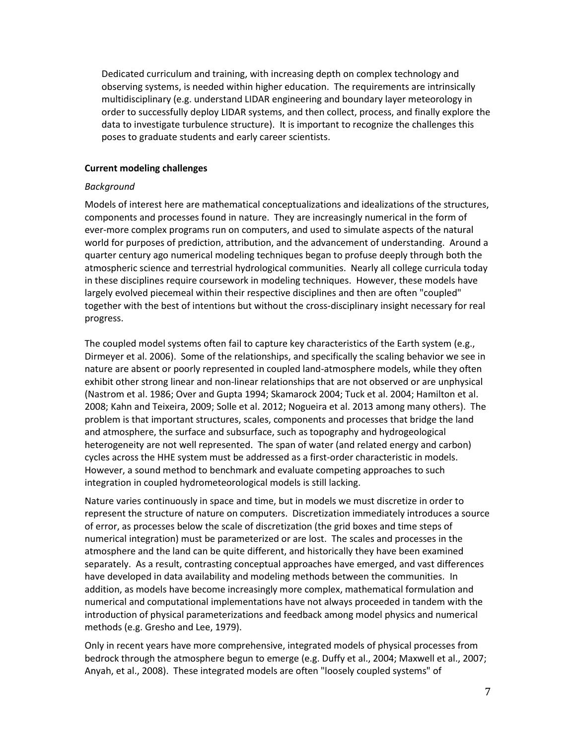Dedicated curriculum and training, with increasing depth on complex technology and observing systems, is needed within higher education. The requirements are intrinsically multidisciplinary (e.g. understand LIDAR engineering and boundary layer meteorology in order to successfully deploy LIDAR systems, and then collect, process, and finally explore the data to investigate turbulence structure). It is important to recognize the challenges this poses to graduate students and early career scientists.

#### **Current modeling challenges**

#### *Background*

Models of interest here are mathematical conceptualizations and idealizations of the structures, components and processes found in nature. They are increasingly numerical in the form of ever-more complex programs run on computers, and used to simulate aspects of the natural world for purposes of prediction, attribution, and the advancement of understanding. Around a quarter century ago numerical modeling techniques began to profuse deeply through both the atmospheric science and terrestrial hydrological communities. Nearly all college curricula today in these disciplines require coursework in modeling techniques. However, these models have largely evolved piecemeal within their respective disciplines and then are often "coupled" together with the best of intentions but without the cross-disciplinary insight necessary for real progress.

The coupled model systems often fail to capture key characteristics of the Earth system (e.g., Dirmeyer et al. 2006). Some of the relationships, and specifically the scaling behavior we see in nature are absent or poorly represented in coupled land-atmosphere models, while they often exhibit other strong linear and non-linear relationships that are not observed or are unphysical (Nastrom et al. 1986; Over and Gupta 1994; Skamarock 2004; Tuck et al. 2004; Hamilton et al. 2008; Kahn and Teixeira, 2009; Solle et al. 2012; Nogueira et al. 2013 among many others). The problem is that important structures, scales, components and processes that bridge the land and atmosphere, the surface and subsurface, such as topography and hydrogeological heterogeneity are not well represented. The span of water (and related energy and carbon) cycles across the HHE system must be addressed as a first-order characteristic in models. However, a sound method to benchmark and evaluate competing approaches to such integration in coupled hydrometeorological models is still lacking.

Nature varies continuously in space and time, but in models we must discretize in order to represent the structure of nature on computers. Discretization immediately introduces a source of error, as processes below the scale of discretization (the grid boxes and time steps of numerical integration) must be parameterized or are lost. The scales and processes in the atmosphere and the land can be quite different, and historically they have been examined separately. As a result, contrasting conceptual approaches have emerged, and vast differences have developed in data availability and modeling methods between the communities. In addition, as models have become increasingly more complex, mathematical formulation and numerical and computational implementations have not always proceeded in tandem with the introduction of physical parameterizations and feedback among model physics and numerical methods (e.g. Gresho and Lee, 1979).

Only in recent years have more comprehensive, integrated models of physical processes from bedrock through the atmosphere begun to emerge (e.g. Duffy et al., 2004; Maxwell et al., 2007; Anyah, et al., 2008). These integrated models are often "loosely coupled systems" of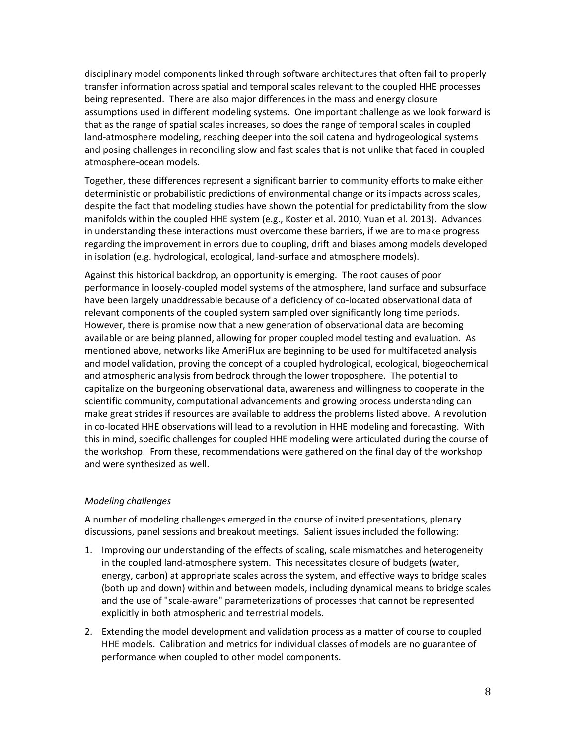disciplinary model components linked through software architectures that often fail to properly transfer information across spatial and temporal scales relevant to the coupled HHE processes being represented. There are also major differences in the mass and energy closure assumptions used in different modeling systems. One important challenge as we look forward is that as the range of spatial scales increases, so does the range of temporal scales in coupled land-atmosphere modeling, reaching deeper into the soil catena and hydrogeological systems and posing challenges in reconciling slow and fast scales that is not unlike that faced in coupled atmosphere-ocean models.

Together, these differences represent a significant barrier to community efforts to make either deterministic or probabilistic predictions of environmental change or its impacts across scales, despite the fact that modeling studies have shown the potential for predictability from the slow manifolds within the coupled HHE system (e.g., Koster et al. 2010, Yuan et al. 2013). Advances in understanding these interactions must overcome these barriers, if we are to make progress regarding the improvement in errors due to coupling, drift and biases among models developed in isolation (e.g. hydrological, ecological, land-surface and atmosphere models).

Against this historical backdrop, an opportunity is emerging. The root causes of poor performance in loosely-coupled model systems of the atmosphere, land surface and subsurface have been largely unaddressable because of a deficiency of co-located observational data of relevant components of the coupled system sampled over significantly long time periods. However, there is promise now that a new generation of observational data are becoming available or are being planned, allowing for proper coupled model testing and evaluation. As mentioned above, networks like AmeriFlux are beginning to be used for multifaceted analysis and model validation, proving the concept of a coupled hydrological, ecological, biogeochemical and atmospheric analysis from bedrock through the lower troposphere. The potential to capitalize on the burgeoning observational data, awareness and willingness to cooperate in the scientific community, computational advancements and growing process understanding can make great strides if resources are available to address the problems listed above. A revolution in co-located HHE observations will lead to a revolution in HHE modeling and forecasting. With this in mind, specific challenges for coupled HHE modeling were articulated during the course of the workshop. From these, recommendations were gathered on the final day of the workshop and were synthesized as well.

#### *Modeling challenges*

A number of modeling challenges emerged in the course of invited presentations, plenary discussions, panel sessions and breakout meetings. Salient issues included the following:

- 1. Improving our understanding of the effects of scaling, scale mismatches and heterogeneity in the coupled land-atmosphere system. This necessitates closure of budgets (water, energy, carbon) at appropriate scales across the system, and effective ways to bridge scales (both up and down) within and between models, including dynamical means to bridge scales and the use of "scale-aware" parameterizations of processes that cannot be represented explicitly in both atmospheric and terrestrial models.
- 2. Extending the model development and validation process as a matter of course to coupled HHE models. Calibration and metrics for individual classes of models are no guarantee of performance when coupled to other model components.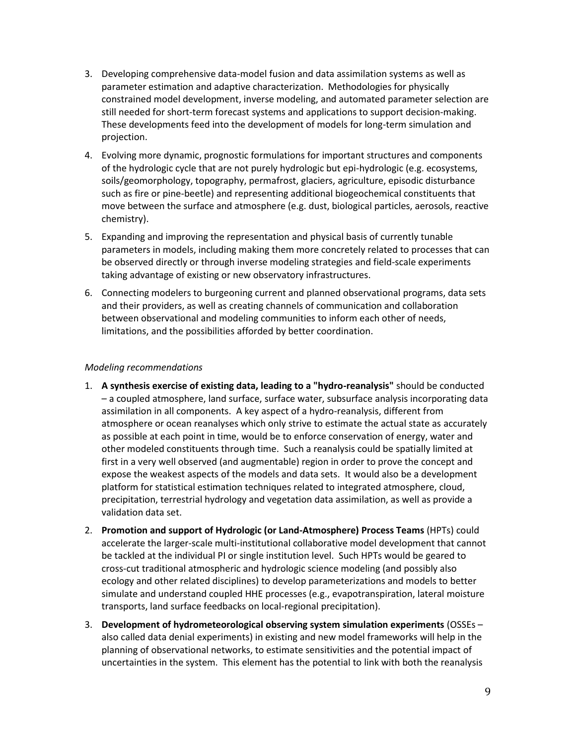- 3. Developing comprehensive data-model fusion and data assimilation systems as well as parameter estimation and adaptive characterization. Methodologies for physically constrained model development, inverse modeling, and automated parameter selection are still needed for short-term forecast systems and applications to support decision-making. These developments feed into the development of models for long-term simulation and projection.
- 4. Evolving more dynamic, prognostic formulations for important structures and components of the hydrologic cycle that are not purely hydrologic but epi-hydrologic (e.g. ecosystems, soils/geomorphology, topography, permafrost, glaciers, agriculture, episodic disturbance such as fire or pine-beetle) and representing additional biogeochemical constituents that move between the surface and atmosphere (e.g. dust, biological particles, aerosols, reactive chemistry).
- 5. Expanding and improving the representation and physical basis of currently tunable parameters in models, including making them more concretely related to processes that can be observed directly or through inverse modeling strategies and field-scale experiments taking advantage of existing or new observatory infrastructures.
- 6. Connecting modelers to burgeoning current and planned observational programs, data sets and their providers, as well as creating channels of communication and collaboration between observational and modeling communities to inform each other of needs, limitations, and the possibilities afforded by better coordination.

### *Modeling recommendations*

- 1. **A synthesis exercise of existing data, leading to a "hydro-reanalysis"** should be conducted – a coupled atmosphere, land surface, surface water, subsurface analysis incorporating data assimilation in all components. A key aspect of a hydro-reanalysis, different from atmosphere or ocean reanalyses which only strive to estimate the actual state as accurately as possible at each point in time, would be to enforce conservation of energy, water and other modeled constituents through time. Such a reanalysis could be spatially limited at first in a very well observed (and augmentable) region in order to prove the concept and expose the weakest aspects of the models and data sets. It would also be a development platform for statistical estimation techniques related to integrated atmosphere, cloud, precipitation, terrestrial hydrology and vegetation data assimilation, as well as provide a validation data set.
- 2. **Promotion and support of Hydrologic (or Land-Atmosphere) Process Teams** (HPTs) could accelerate the larger-scale multi-institutional collaborative model development that cannot be tackled at the individual PI or single institution level. Such HPTs would be geared to cross-cut traditional atmospheric and hydrologic science modeling (and possibly also ecology and other related disciplines) to develop parameterizations and models to better simulate and understand coupled HHE processes (e.g., evapotranspiration, lateral moisture transports, land surface feedbacks on local-regional precipitation).
- 3. **Development of hydrometeorological observing system simulation experiments** (OSSEs also called data denial experiments) in existing and new model frameworks will help in the planning of observational networks, to estimate sensitivities and the potential impact of uncertainties in the system. This element has the potential to link with both the reanalysis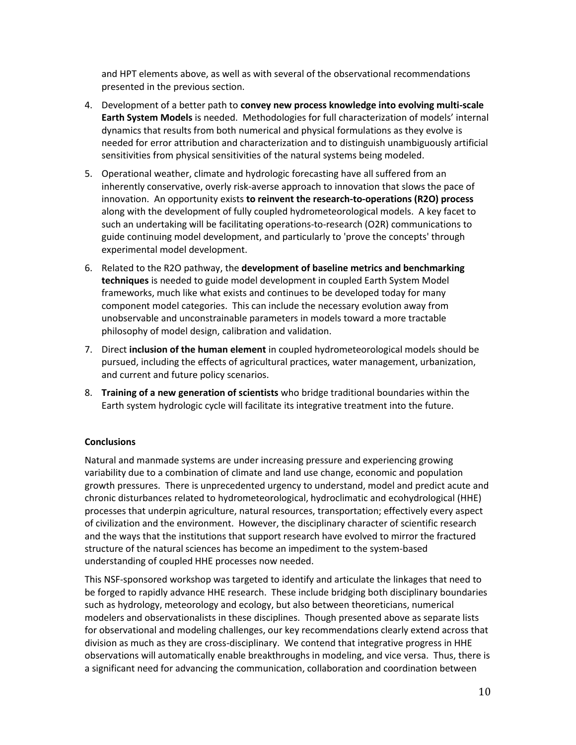and HPT elements above, as well as with several of the observational recommendations presented in the previous section.

- 4. Development of a better path to **convey new process knowledge into evolving multi-scale Earth System Models** is needed. Methodologies for full characterization of models' internal dynamics that results from both numerical and physical formulations as they evolve is needed for error attribution and characterization and to distinguish unambiguously artificial sensitivities from physical sensitivities of the natural systems being modeled.
- 5. Operational weather, climate and hydrologic forecasting have all suffered from an inherently conservative, overly risk-averse approach to innovation that slows the pace of innovation. An opportunity exists **to reinvent the research-to-operations (R2O) process** along with the development of fully coupled hydrometeorological models. A key facet to such an undertaking will be facilitating operations-to-research (O2R) communications to guide continuing model development, and particularly to 'prove the concepts' through experimental model development.
- 6. Related to the R2O pathway, the **development of baseline metrics and benchmarking techniques** is needed to guide model development in coupled Earth System Model frameworks, much like what exists and continues to be developed today for many component model categories. This can include the necessary evolution away from unobservable and unconstrainable parameters in models toward a more tractable philosophy of model design, calibration and validation.
- 7. Direct **inclusion of the human element** in coupled hydrometeorological models should be pursued, including the effects of agricultural practices, water management, urbanization, and current and future policy scenarios.
- 8. **Training of a new generation of scientists** who bridge traditional boundaries within the Earth system hydrologic cycle will facilitate its integrative treatment into the future.

## **Conclusions**

Natural and manmade systems are under increasing pressure and experiencing growing variability due to a combination of climate and land use change, economic and population growth pressures. There is unprecedented urgency to understand, model and predict acute and chronic disturbances related to hydrometeorological, hydroclimatic and ecohydrological (HHE) processes that underpin agriculture, natural resources, transportation; effectively every aspect of civilization and the environment. However, the disciplinary character of scientific research and the ways that the institutions that support research have evolved to mirror the fractured structure of the natural sciences has become an impediment to the system-based understanding of coupled HHE processes now needed.

This NSF-sponsored workshop was targeted to identify and articulate the linkages that need to be forged to rapidly advance HHE research. These include bridging both disciplinary boundaries such as hydrology, meteorology and ecology, but also between theoreticians, numerical modelers and observationalists in these disciplines. Though presented above as separate lists for observational and modeling challenges, our key recommendations clearly extend across that division as much as they are cross-disciplinary. We contend that integrative progress in HHE observations will automatically enable breakthroughs in modeling, and vice versa. Thus, there is a significant need for advancing the communication, collaboration and coordination between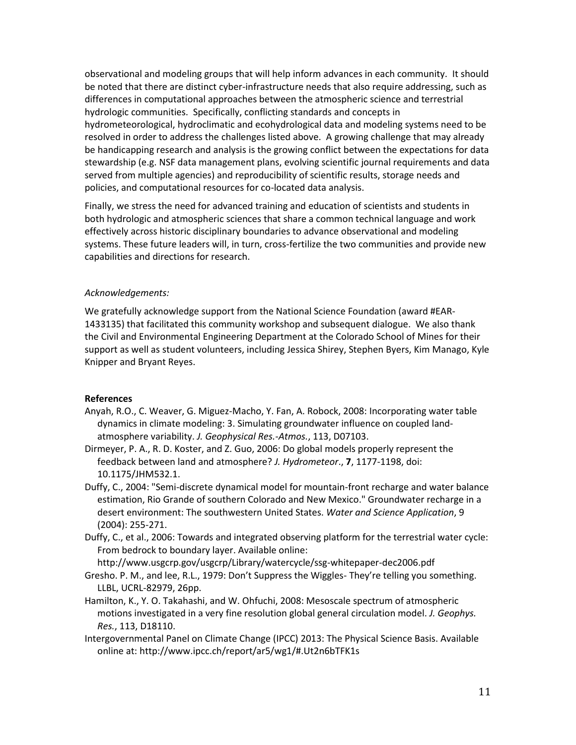observational and modeling groups that will help inform advances in each community. It should be noted that there are distinct cyber-infrastructure needs that also require addressing, such as differences in computational approaches between the atmospheric science and terrestrial hydrologic communities. Specifically, conflicting standards and concepts in hydrometeorological, hydroclimatic and ecohydrological data and modeling systems need to be resolved in order to address the challenges listed above. A growing challenge that may already be handicapping research and analysis is the growing conflict between the expectations for data stewardship (e.g. NSF data management plans, evolving scientific journal requirements and data served from multiple agencies) and reproducibility of scientific results, storage needs and policies, and computational resources for co-located data analysis.

Finally, we stress the need for advanced training and education of scientists and students in both hydrologic and atmospheric sciences that share a common technical language and work effectively across historic disciplinary boundaries to advance observational and modeling systems. These future leaders will, in turn, cross-fertilize the two communities and provide new capabilities and directions for research.

#### *Acknowledgements:*

We gratefully acknowledge support from the National Science Foundation (award #EAR-1433135) that facilitated this community workshop and subsequent dialogue. We also thank the Civil and Environmental Engineering Department at the Colorado School of Mines for their support as well as student volunteers, including Jessica Shirey, Stephen Byers, Kim Manago, Kyle Knipper and Bryant Reyes.

#### **References**

- Anyah, R.O., C. Weaver, G. Miguez-Macho, Y. Fan, A. Robock, 2008: Incorporating water table dynamics in climate modeling: 3. Simulating groundwater influence on coupled landatmosphere variability. *J. Geophysical Res.-Atmos.*, 113, D07103.
- Dirmeyer, P. A., R. D. Koster, and Z. Guo, 2006: Do global models properly represent the feedback between land and atmosphere? *J. Hydrometeor*., **7**, 1177-1198, doi: 10.1175/JHM532.1.
- Duffy, C., 2004: "Semi-discrete dynamical model for mountain-front recharge and water balance estimation, Rio Grande of southern Colorado and New Mexico." Groundwater recharge in a desert environment: The southwestern United States. *Water and Science Application*, 9 (2004): 255-271.
- Duffy, C., et al., 2006: Towards and integrated observing platform for the terrestrial water cycle: From bedrock to boundary layer. Available online:

http://www.usgcrp.gov/usgcrp/Library/watercycle/ssg-whitepaper-dec2006.pdf

- Gresho. P. M., and lee, R.L., 1979: Don't Suppress the Wiggles- They're telling you something. LLBL, UCRL-82979, 26pp.
- Hamilton, K., Y. O. Takahashi, and W. Ohfuchi, 2008: Mesoscale spectrum of atmospheric motions investigated in a very fine resolution global general circulation model. *J. Geophys. Res.*, 113, D18110.
- Intergovernmental Panel on Climate Change (IPCC) 2013: The Physical Science Basis. Available online at:<http://www.ipcc.ch/report/ar5/wg1/#.Ut2n6bTFK1s>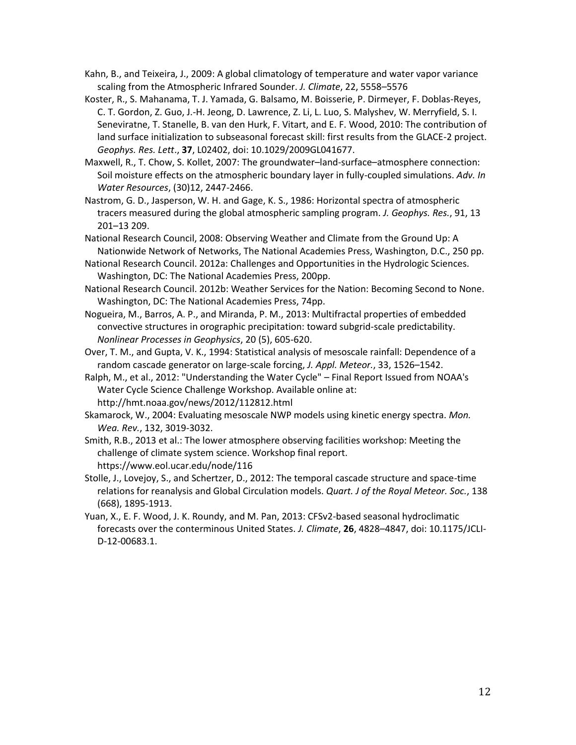- Kahn, B., and Teixeira, J., 2009: A global climatology of temperature and water vapor variance scaling from the Atmospheric Infrared Sounder. *J. Climate*, 22, 5558–5576
- Koster, R., S. Mahanama, T. J. Yamada, G. Balsamo, M. Boisserie, P. Dirmeyer, F. Doblas-Reyes, C. T. Gordon, Z. Guo, J.-H. Jeong, D. Lawrence, Z. Li, L. Luo, S. Malyshev, W. Merryfield, S. I. Seneviratne, T. Stanelle, B. van den Hurk, F. Vitart, and E. F. Wood, 2010: The contribution of land surface initialization to subseasonal forecast skill: first results from the GLACE-2 project. *Geophys. Res. Lett*., **37**, L02402, doi: 10.1029/2009GL041677.
- Maxwell, R., T. Chow, S. Kollet, 2007: The groundwater–land-surface–atmosphere connection: Soil moisture effects on the atmospheric boundary layer in fully-coupled simulations. *Adv. In Water Resources*, (30)12, 2447-2466.
- Nastrom, G. D., Jasperson, W. H. and Gage, K. S., 1986: Horizontal spectra of atmospheric tracers measured during the global atmospheric sampling program. *J. Geophys. Res.*, 91, 13 201–13 209.
- National Research Council, 2008: Observing Weather and Climate from the Ground Up: A Nationwide Network of Networks, The National Academies Press, Washington, D.C., 250 pp.
- National Research Council. 2012a: Challenges and Opportunities in the Hydrologic Sciences. Washington, DC: The National Academies Press, 200pp.
- National Research Council. 2012b: Weather Services for the Nation: Becoming Second to None. Washington, DC: The National Academies Press, 74pp.
- Nogueira, M., Barros, A. P., and Miranda, P. M., 2013: Multifractal properties of embedded convective structures in orographic precipitation: toward subgrid-scale predictability. *Nonlinear Processes in Geophysics*, 20 (5), 605-620.
- Over, T. M., and Gupta, V. K., 1994: Statistical analysis of mesoscale rainfall: Dependence of a random cascade generator on large-scale forcing, *J. Appl. Meteor.*, 33, 1526–1542.
- Ralph, M., et al., 2012: "Understanding the Water Cycle" Final Report Issued from NOAA's Water Cycle Science Challenge Workshop. Available online at: http://hmt.noaa.gov/news/2012/112812.html
- Skamarock, W., 2004: Evaluating mesoscale NWP models using kinetic energy spectra. *Mon. Wea. Rev.*, 132, 3019-3032.
- Smith, R.B., 2013 et al.: The lower atmosphere observing facilities workshop: Meeting the challenge of climate system science. Workshop final report. https://www.eol.ucar.edu/node/116
- Stolle, J., Lovejoy, S., and Schertzer, D., 2012: The temporal cascade structure and space-time relations for reanalysis and Global Circulation models. *Quart. J of the Royal Meteor. Soc.*, 138 (668), 1895-1913.
- Yuan, X., E. F. Wood, J. K. Roundy, and M. Pan, 2013: CFSv2-based seasonal hydroclimatic forecasts over the conterminous United States. *J. Climate*, **26**, 4828–4847, doi: 10.1175/JCLI-D-12-00683.1.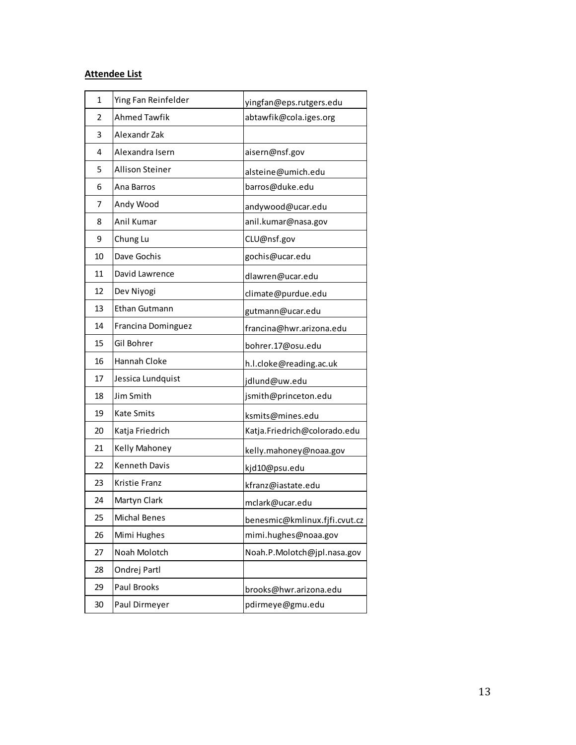# **Attendee List**

| $\mathbf{1}$ | Ying Fan Reinfelder    | yingfan@eps.rutgers.edu       |
|--------------|------------------------|-------------------------------|
| 2            | <b>Ahmed Tawfik</b>    | abtawfik@cola.iges.org        |
| 3            | Alexandr Zak           |                               |
| 4            | Alexandra Isern        | aisern@nsf.gov                |
| 5            | <b>Allison Steiner</b> | alsteine@umich.edu            |
| 6            | Ana Barros             | barros@duke.edu               |
| 7            | Andy Wood              | andywood@ucar.edu             |
| 8            | Anil Kumar             | anil.kumar@nasa.gov           |
| 9            | Chung Lu               | CLU@nsf.gov                   |
| 10           | Dave Gochis            | gochis@ucar.edu               |
| 11           | David Lawrence         | dlawren@ucar.edu              |
| 12           | Dev Niyogi             | climate@purdue.edu            |
| 13           | Ethan Gutmann          | gutmann@ucar.edu              |
| 14           | Francina Dominguez     | francina@hwr.arizona.edu      |
| 15           | Gil Bohrer             | bohrer.17@osu.edu             |
| 16           | Hannah Cloke           | h.l.cloke@reading.ac.uk       |
| 17           | Jessica Lundquist      | jdlund@uw.edu                 |
| 18           | Jim Smith              | jsmith@princeton.edu          |
| 19           | <b>Kate Smits</b>      | ksmits@mines.edu              |
| 20           | Katja Friedrich        | Katja.Friedrich@colorado.edu  |
| 21           | Kelly Mahoney          | kelly.mahoney@noaa.gov        |
| 22           | <b>Kenneth Davis</b>   | kjd10@psu.edu                 |
| 23           | <b>Kristie Franz</b>   | kfranz@iastate.edu            |
| 24           | Martyn Clark           | mclark@ucar.edu               |
| 25           | <b>Michal Benes</b>    | benesmic@kmlinux.fjfi.cvut.cz |
| 26           | Mimi Hughes            | mimi.hughes@noaa.gov          |
| 27           | Noah Molotch           | Noah.P.Molotch@jpl.nasa.gov   |
| 28           | Ondrej Partl           |                               |
| 29           | Paul Brooks            | brooks@hwr.arizona.edu        |
| 30           | Paul Dirmeyer          | pdirmeye@gmu.edu              |